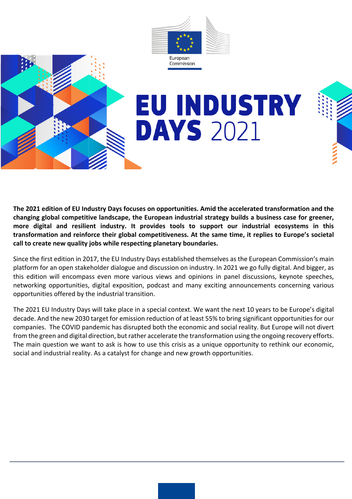



# **EU INDUSTRY DAYS 2021**

**The 2021 edition of EU Industry Days focuses on opportunities. Amid the accelerated transformation and the changing global competitive landscape, the European industrial strategy builds a business case for greener, more digital and resilient industry. It provides tools to support our industrial ecosystems in this transformation and reinforce their global competitiveness. At the same time, it replies to Europe's societal call to create new quality jobs while respecting planetary boundaries.**

Since the first edition in 2017, the EU Industry Days established themselves as the European Commission's main platform for an open stakeholder dialogue and discussion on industry. In 2021 we go fully digital. And bigger, as this edition will encompass even more various views and opinions in panel discussions, keynote speeches, networking opportunities, digital exposition, podcast and many exciting announcements concerning various opportunities offered by the industrial transition.

The 2021 EU Industry Days will take place in a special context. We want the next 10 years to be Europe's digital decade. And the new 2030 target for emission reduction of at least 55% to bring significant opportunities for our companies. The COVID pandemic has disrupted both the economic and social reality. But Europe will not divert from the green and digital direction, but rather accelerate the transformation using the ongoing recovery efforts. The main question we want to ask is how to use this crisis as a unique opportunity to rethink our economic, social and industrial reality. As a catalyst for change and new growth opportunities.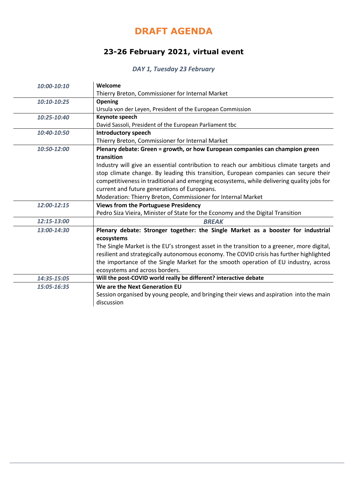# **DRAFT AGENDA**

# **23-26 February 2021, virtual event**

## *DAY 1, Tuesday 23 February*

| 10:00-10:10 | Welcome                                                                                     |
|-------------|---------------------------------------------------------------------------------------------|
|             | Thierry Breton, Commissioner for Internal Market                                            |
| 10:10-10:25 | Opening                                                                                     |
|             | Ursula von der Leyen, President of the European Commission                                  |
| 10:25-10:40 | Keynote speech                                                                              |
|             | David Sassoli, President of the European Parliament tbc                                     |
| 10:40-10:50 | <b>Introductory speech</b>                                                                  |
|             | Thierry Breton, Commissioner for Internal Market                                            |
| 10:50-12:00 | Plenary debate: Green = growth, or how European companies can champion green                |
|             | transition                                                                                  |
|             | Industry will give an essential contribution to reach our ambitious climate targets and     |
|             | stop climate change. By leading this transition, European companies can secure their        |
|             | competitiveness in traditional and emerging ecosystems, while delivering quality jobs for   |
|             | current and future generations of Europeans.                                                |
|             | Moderation: Thierry Breton, Commissioner for Internal Market                                |
| 12:00-12:15 | <b>Views from the Portuguese Presidency</b>                                                 |
|             | Pedro Siza Vieira, Minister of State for the Economy and the Digital Transition             |
| 12:15-13:00 | <b>BREAK</b>                                                                                |
| 13:00-14:30 | Plenary debate: Stronger together: the Single Market as a booster for industrial            |
|             | ecosystems                                                                                  |
|             | The Single Market is the EU's strongest asset in the transition to a greener, more digital, |
|             | resilient and strategically autonomous economy. The COVID crisis has further highlighted    |
|             | the importance of the Single Market for the smooth operation of EU industry, across         |
|             | ecosystems and across borders.                                                              |
| 14:35-15:05 | Will the post-COVID world really be different? interactive debate                           |
| 15:05-16:35 | We are the Next Generation EU                                                               |
|             | Session organised by young people, and bringing their views and aspiration into the main    |
|             | discussion                                                                                  |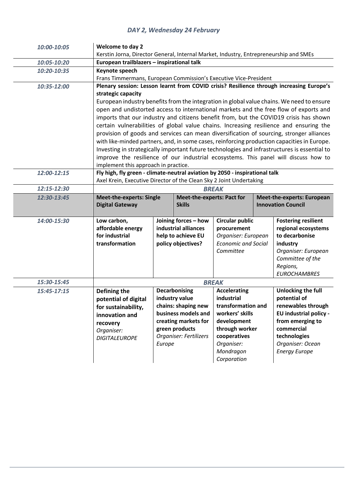#### *DAY 2, Wednesday 24 February*

| 10:00-10:05 | <b>Welcome to day 2</b><br>Kerstin Jorna, Director General, Internal Market, Industry, Entrepreneurship and SMEs                                                                    |                                          |                                   |                                                                |                                           |                                                                                             |  |
|-------------|-------------------------------------------------------------------------------------------------------------------------------------------------------------------------------------|------------------------------------------|-----------------------------------|----------------------------------------------------------------|-------------------------------------------|---------------------------------------------------------------------------------------------|--|
| 10:05-10:20 | European trailblazers - inspirational talk                                                                                                                                          |                                          |                                   |                                                                |                                           |                                                                                             |  |
|             | Keynote speech                                                                                                                                                                      |                                          |                                   |                                                                |                                           |                                                                                             |  |
| 10:20-10:35 | Frans Timmermans, European Commission's Executive Vice-President                                                                                                                    |                                          |                                   |                                                                |                                           |                                                                                             |  |
| 10:35-12:00 |                                                                                                                                                                                     |                                          |                                   |                                                                |                                           | Plenary session: Lesson learnt from COVID crisis? Resilience through increasing Europe's    |  |
|             | strategic capacity                                                                                                                                                                  |                                          |                                   |                                                                |                                           |                                                                                             |  |
|             |                                                                                                                                                                                     |                                          |                                   |                                                                |                                           | European industry benefits from the integration in global value chains. We need to ensure   |  |
|             |                                                                                                                                                                                     |                                          |                                   |                                                                |                                           | open and undistorted access to international markets and the free flow of exports and       |  |
|             |                                                                                                                                                                                     |                                          |                                   |                                                                |                                           | imports that our industry and citizens benefit from, but the COVID19 crisis has shown       |  |
|             |                                                                                                                                                                                     |                                          |                                   |                                                                |                                           | certain vulnerabilities of global value chains. Increasing resilience and ensuring the      |  |
|             |                                                                                                                                                                                     |                                          |                                   |                                                                |                                           | provision of goods and services can mean diversification of sourcing, stronger alliances    |  |
|             |                                                                                                                                                                                     |                                          |                                   |                                                                |                                           | with like-minded partners, and, in some cases, reinforcing production capacities in Europe. |  |
|             |                                                                                                                                                                                     |                                          |                                   |                                                                |                                           |                                                                                             |  |
|             | Investing in strategically important future technologies and infrastructures is essential to<br>improve the resilience of our industrial ecosystems. This panel will discuss how to |                                          |                                   |                                                                |                                           |                                                                                             |  |
|             | implement this approach in practice.                                                                                                                                                |                                          |                                   |                                                                |                                           |                                                                                             |  |
| 12:00-12:15 | Fly high, fly green - climate-neutral aviation by 2050 - inspirational talk                                                                                                         |                                          |                                   |                                                                |                                           |                                                                                             |  |
|             | Axel Krein, Executive Director of the Clean Sky 2 Joint Undertaking                                                                                                                 |                                          |                                   |                                                                |                                           |                                                                                             |  |
| 12:15-12:30 |                                                                                                                                                                                     |                                          | <b>BREAK</b>                      |                                                                |                                           |                                                                                             |  |
| 12:30-13:45 | <b>Meet-the-experts: Single</b>                                                                                                                                                     |                                          | <b>Meet-the-experts: Pact for</b> |                                                                |                                           | <b>Meet-the-experts: European</b>                                                           |  |
|             | <b>Digital Gateway</b><br><b>Skills</b>                                                                                                                                             |                                          |                                   |                                                                |                                           | <b>Innovation Council</b>                                                                   |  |
|             |                                                                                                                                                                                     |                                          |                                   |                                                                |                                           |                                                                                             |  |
| 14:00-15:30 | Low carbon,                                                                                                                                                                         |                                          | Joining forces - how              | <b>Circular public</b>                                         |                                           | <b>Fostering resilient</b>                                                                  |  |
|             | affordable energy                                                                                                                                                                   |                                          | industrial alliances              | procurement                                                    |                                           | regional ecosystems                                                                         |  |
|             | for industrial<br>transformation                                                                                                                                                    | help to achieve EU<br>policy objectives? |                                   | Organiser: European<br><b>Economic and Social</b><br>Committee |                                           | to decarbonise<br>industry                                                                  |  |
|             |                                                                                                                                                                                     |                                          |                                   |                                                                |                                           | Organiser: European                                                                         |  |
|             |                                                                                                                                                                                     |                                          |                                   |                                                                |                                           | Committee of the                                                                            |  |
|             |                                                                                                                                                                                     |                                          |                                   |                                                                |                                           | Regions,                                                                                    |  |
|             |                                                                                                                                                                                     |                                          |                                   |                                                                |                                           | <b>EUROCHAMBRES</b>                                                                         |  |
| 15:30-15:45 | <b>BREAK</b>                                                                                                                                                                        |                                          |                                   |                                                                |                                           |                                                                                             |  |
| 15:45-17:15 | Defining the                                                                                                                                                                        | <b>Decarbonising</b>                     |                                   |                                                                | Unlocking the full<br><b>Accelerating</b> |                                                                                             |  |
|             | potential of digital                                                                                                                                                                | industry value                           |                                   | industrial                                                     |                                           | potential of                                                                                |  |
|             | chains: shaping new<br>for sustainability,                                                                                                                                          |                                          |                                   | transformation and                                             |                                           | renewables through                                                                          |  |
|             | innovation and                                                                                                                                                                      | business models and                      |                                   | workers' skills                                                |                                           | <b>EU</b> industrial policy -                                                               |  |
|             | creating markets for<br>recovery                                                                                                                                                    |                                          |                                   | development                                                    |                                           | from emerging to                                                                            |  |
|             | Organiser:                                                                                                                                                                          | green products                           |                                   | through worker                                                 |                                           | commercial                                                                                  |  |
|             | Organiser: Fertilizers<br><b>DIGITALEUROPE</b>                                                                                                                                      |                                          |                                   | cooperatives                                                   |                                           | technologies                                                                                |  |
|             |                                                                                                                                                                                     | Europe                                   |                                   | Organiser:                                                     |                                           | Organiser: Ocean                                                                            |  |
|             |                                                                                                                                                                                     |                                          |                                   |                                                                |                                           |                                                                                             |  |
|             |                                                                                                                                                                                     |                                          |                                   | Mondragon<br>Corporation                                       |                                           | <b>Energy Europe</b>                                                                        |  |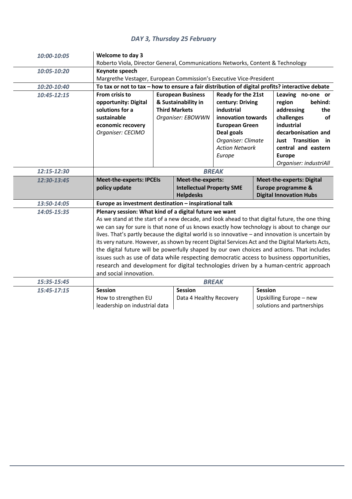## *DAY 3, Thursday 25 February*

| 10:00-10:05 | Welcome to day 3                                                                                                                                                                                                                                                                                                                                                                                                                                                                                                                                                                                                                                                                                                                                                          |                                                                                              |                         |                                                                                                                                                                            |                    |                                                                                                                                                                                    |  |
|-------------|---------------------------------------------------------------------------------------------------------------------------------------------------------------------------------------------------------------------------------------------------------------------------------------------------------------------------------------------------------------------------------------------------------------------------------------------------------------------------------------------------------------------------------------------------------------------------------------------------------------------------------------------------------------------------------------------------------------------------------------------------------------------------|----------------------------------------------------------------------------------------------|-------------------------|----------------------------------------------------------------------------------------------------------------------------------------------------------------------------|--------------------|------------------------------------------------------------------------------------------------------------------------------------------------------------------------------------|--|
|             | Roberto Viola, Director General, Communications Networks, Content & Technology                                                                                                                                                                                                                                                                                                                                                                                                                                                                                                                                                                                                                                                                                            |                                                                                              |                         |                                                                                                                                                                            |                    |                                                                                                                                                                                    |  |
| 10:05-10:20 | Keynote speech                                                                                                                                                                                                                                                                                                                                                                                                                                                                                                                                                                                                                                                                                                                                                            |                                                                                              |                         |                                                                                                                                                                            |                    |                                                                                                                                                                                    |  |
|             | Margrethe Vestager, European Commission's Executive Vice-President                                                                                                                                                                                                                                                                                                                                                                                                                                                                                                                                                                                                                                                                                                        |                                                                                              |                         |                                                                                                                                                                            |                    |                                                                                                                                                                                    |  |
| 10:20-10:40 | To tax or not to tax - how to ensure a fair distribution of digital profits? interactive debate                                                                                                                                                                                                                                                                                                                                                                                                                                                                                                                                                                                                                                                                           |                                                                                              |                         |                                                                                                                                                                            |                    |                                                                                                                                                                                    |  |
| 10:45-12:15 | From crisis to<br>opportunity: Digital<br>solutions for a<br>sustainable<br>economic recovery<br>Organiser: CECIMO                                                                                                                                                                                                                                                                                                                                                                                                                                                                                                                                                                                                                                                        | <b>European Business</b><br>& Sustainability in<br><b>Third Markets</b><br>Organiser: EBOWWN |                         | Ready for the 21st<br>century: Driving<br>industrial<br>innovation towards<br><b>European Green</b><br>Deal goals<br>Organiser: Climate<br><b>Action Network</b><br>Europe |                    | Leaving no-one or<br>behind:<br>region<br>addressing<br>the<br>challenges<br>of<br>industrial<br>decarbonisation and<br>Just Transition in<br>central and eastern<br><b>Europe</b> |  |
|             |                                                                                                                                                                                                                                                                                                                                                                                                                                                                                                                                                                                                                                                                                                                                                                           |                                                                                              |                         |                                                                                                                                                                            |                    | Organiser: industriAll                                                                                                                                                             |  |
| 12:15-12:30 | <b>BREAK</b>                                                                                                                                                                                                                                                                                                                                                                                                                                                                                                                                                                                                                                                                                                                                                              |                                                                                              |                         |                                                                                                                                                                            |                    |                                                                                                                                                                                    |  |
| 12:30-13:45 | <b>Meet-the-experts: IPCEIs</b><br>policy update<br><b>Intellectual Property SME</b>                                                                                                                                                                                                                                                                                                                                                                                                                                                                                                                                                                                                                                                                                      |                                                                                              | Meet-the-experts:       |                                                                                                                                                                            |                    | <b>Meet-the-experts: Digital</b>                                                                                                                                                   |  |
|             |                                                                                                                                                                                                                                                                                                                                                                                                                                                                                                                                                                                                                                                                                                                                                                           |                                                                                              |                         |                                                                                                                                                                            | Europe programme & |                                                                                                                                                                                    |  |
|             |                                                                                                                                                                                                                                                                                                                                                                                                                                                                                                                                                                                                                                                                                                                                                                           | <b>Helpdesks</b>                                                                             |                         |                                                                                                                                                                            |                    | <b>Digital Innovation Hubs</b>                                                                                                                                                     |  |
| 13:50-14:05 | Europe as investment destination - inspirational talk                                                                                                                                                                                                                                                                                                                                                                                                                                                                                                                                                                                                                                                                                                                     |                                                                                              |                         |                                                                                                                                                                            |                    |                                                                                                                                                                                    |  |
| 14:05-15:35 | Plenary session: What kind of a digital future we want<br>As we stand at the start of a new decade, and look ahead to that digital future, the one thing<br>we can say for sure is that none of us knows exactly how technology is about to change our<br>lives. That's partly because the digital world is so innovative - and innovation is uncertain by<br>its very nature. However, as shown by recent Digital Services Act and the Digital Markets Acts,<br>the digital future will be powerfully shaped by our own choices and actions. That includes<br>issues such as use of data while respecting democratic access to business opportunities,<br>research and development for digital technologies driven by a human-centric approach<br>and social innovation. |                                                                                              |                         |                                                                                                                                                                            |                    |                                                                                                                                                                                    |  |
| 15:35-15:45 |                                                                                                                                                                                                                                                                                                                                                                                                                                                                                                                                                                                                                                                                                                                                                                           |                                                                                              |                         | <b>BREAK</b>                                                                                                                                                               |                    |                                                                                                                                                                                    |  |
| 15:45-17:15 | <b>Session</b>                                                                                                                                                                                                                                                                                                                                                                                                                                                                                                                                                                                                                                                                                                                                                            |                                                                                              | <b>Session</b>          | <b>Session</b>                                                                                                                                                             |                    |                                                                                                                                                                                    |  |
|             | How to strengthen EU<br>leadership on industrial data                                                                                                                                                                                                                                                                                                                                                                                                                                                                                                                                                                                                                                                                                                                     |                                                                                              | Data 4 Healthy Recovery |                                                                                                                                                                            |                    | Upskilling Europe - new<br>solutions and partnerships                                                                                                                              |  |